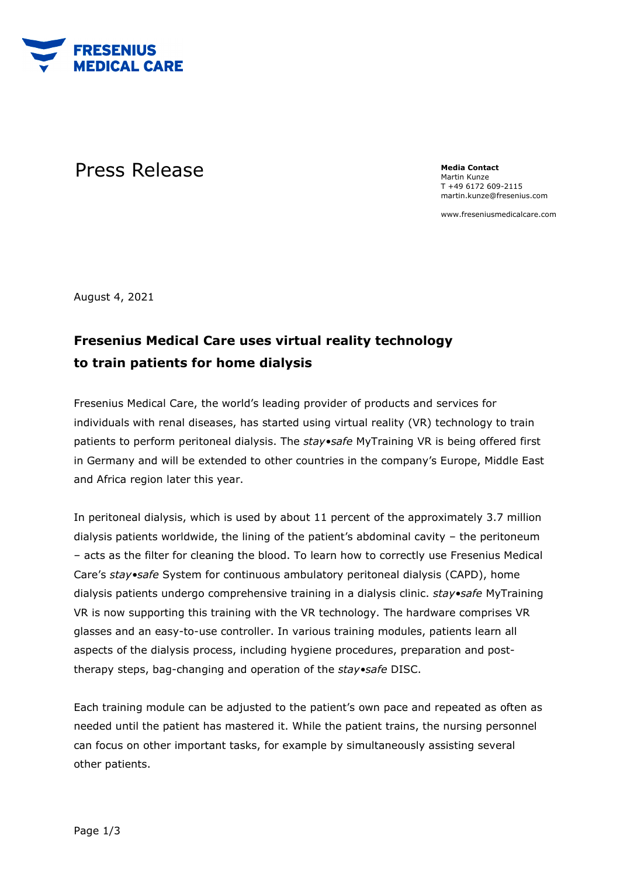

## Press Release **Media Contact**

Martin Kunze T +49 6172 609-2115 martin.kunze@fresenius.com

www.freseniusmedicalcare.com

August 4, 2021

## **Fresenius Medical Care uses virtual reality technology to train patients for home dialysis**

Fresenius Medical Care, the world's leading provider of products and services for individuals with renal diseases, has started using virtual reality (VR) technology to train patients to perform peritoneal dialysis. The *stay•safe* MyTraining VR is being offered first in Germany and will be extended to other countries in the company's Europe, Middle East and Africa region later this year.

In peritoneal dialysis, which is used by about 11 percent of the approximately 3.7 million dialysis patients worldwide, the lining of the patient's abdominal cavity – the peritoneum – acts as the filter for cleaning the blood. To learn how to correctly use Fresenius Medical Care's *stay•safe* System for continuous ambulatory peritoneal dialysis (CAPD), home dialysis patients undergo comprehensive training in a dialysis clinic. *stay•safe* MyTraining VR is now supporting this training with the VR technology. The hardware comprises VR glasses and an easy-to-use controller. In various training modules, patients learn all aspects of the dialysis process, including hygiene procedures, preparation and posttherapy steps, bag-changing and operation of the *stay•safe* DISC.

Each training module can be adjusted to the patient's own pace and repeated as often as needed until the patient has mastered it. While the patient trains, the nursing personnel can focus on other important tasks, for example by simultaneously assisting several other patients.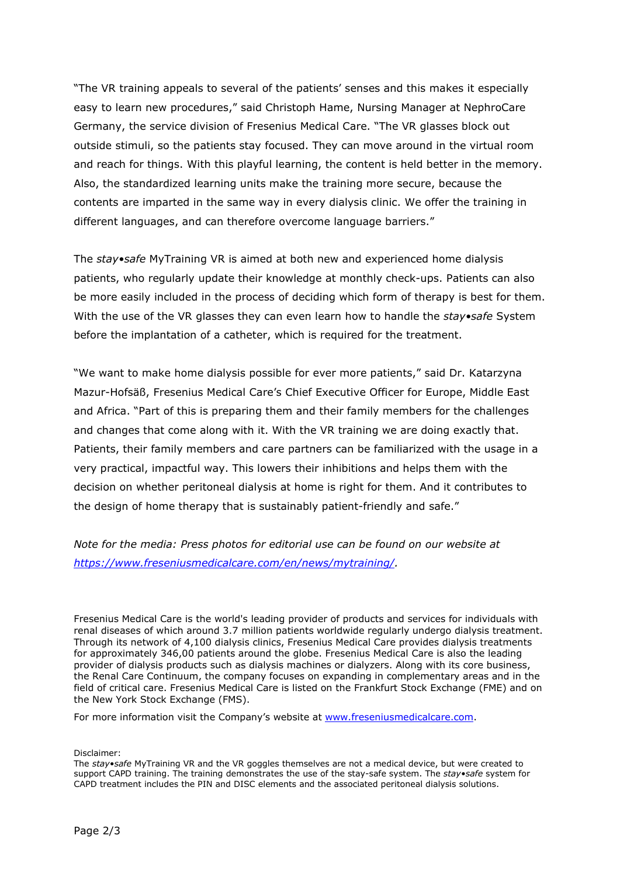"The VR training appeals to several of the patients' senses and this makes it especially easy to learn new procedures," said Christoph Hame, Nursing Manager at NephroCare Germany, the service division of Fresenius Medical Care. "The VR glasses block out outside stimuli, so the patients stay focused. They can move around in the virtual room and reach for things. With this playful learning, the content is held better in the memory. Also, the standardized learning units make the training more secure, because the contents are imparted in the same way in every dialysis clinic. We offer the training in different languages, and can therefore overcome language barriers."

The *stay•safe* MyTraining VR is aimed at both new and experienced home dialysis patients, who regularly update their knowledge at monthly check-ups. Patients can also be more easily included in the process of deciding which form of therapy is best for them. With the use of the VR glasses they can even learn how to handle the *stay•safe* System before the implantation of a catheter, which is required for the treatment.

"We want to make home dialysis possible for ever more patients," said Dr. Katarzyna Mazur-Hofsäß, Fresenius Medical Care's Chief Executive Officer for Europe, Middle East and Africa. "Part of this is preparing them and their family members for the challenges and changes that come along with it. With the VR training we are doing exactly that. Patients, their family members and care partners can be familiarized with the usage in a very practical, impactful way. This lowers their inhibitions and helps them with the decision on whether peritoneal dialysis at home is right for them. And it contributes to the design of home therapy that is sustainably patient-friendly and safe."

*Note for the media: Press photos for editorial use can be found on our website at [https://www.freseniusmedicalcare.com/en/news/mytraining/.](https://www.freseniusmedicalcare.com/en/news/mytraining/)*

Fresenius Medical Care is the world's leading provider of products and services for individuals with renal diseases of which around 3.7 million patients worldwide regularly undergo dialysis treatment. Through its network of 4,100 dialysis clinics, Fresenius Medical Care provides dialysis treatments for approximately 346,00 patients around the globe. Fresenius Medical Care is also the leading provider of dialysis products such as dialysis machines or dialyzers. Along with its core business, the Renal Care Continuum, the company focuses on expanding in complementary areas and in the field of critical care. Fresenius Medical Care is listed on the Frankfurt Stock Exchange (FME) and on the New York Stock Exchange (FMS).

For more information visit the Company's website at [www.freseniusmedicalcare.com.](http://www.freseniusmedicalcare.com/)

Disclaimer:

The *stay•safe* MyTraining VR and the VR goggles themselves are not a medical device, but were created to support CAPD training. The training demonstrates the use of the stay-safe system. The *stay•safe* system for CAPD treatment includes the PIN and DISC elements and the associated peritoneal dialysis solutions.